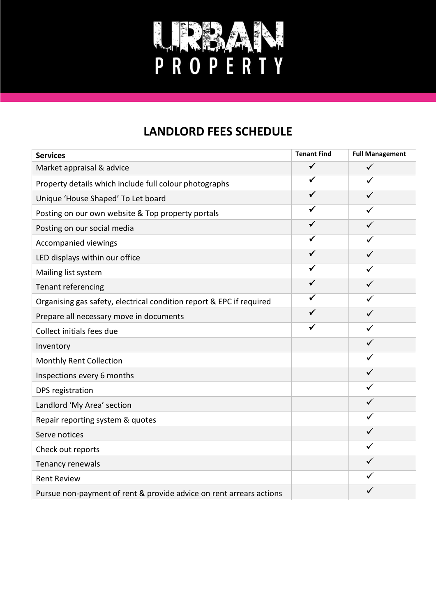

## **LANDLORD FEES SCHEDULE**

| <b>Services</b>                                                      | <b>Tenant Find</b> | <b>Full Management</b> |
|----------------------------------------------------------------------|--------------------|------------------------|
| Market appraisal & advice                                            | $\checkmark$       | $\checkmark$           |
| Property details which include full colour photographs               | $\checkmark$       | ✓                      |
| Unique 'House Shaped' To Let board                                   | $\checkmark$       | ✓                      |
| Posting on our own website & Top property portals                    | ✓                  |                        |
| Posting on our social media                                          | ✓                  | $\checkmark$           |
| <b>Accompanied viewings</b>                                          | ✔                  | ✓                      |
| LED displays within our office                                       | ✔                  | $\checkmark$           |
| Mailing list system                                                  | ✓                  | $\checkmark$           |
| Tenant referencing                                                   | ✓                  | $\checkmark$           |
| Organising gas safety, electrical condition report & EPC if required | ✓                  | $\checkmark$           |
| Prepare all necessary move in documents                              | ✔                  |                        |
| Collect initials fees due                                            | ✓                  | ✓                      |
| Inventory                                                            |                    | ✓                      |
| Monthly Rent Collection                                              |                    | ✓                      |
| Inspections every 6 months                                           |                    | $\checkmark$           |
| DPS registration                                                     |                    | ✓                      |
| Landlord 'My Area' section                                           |                    | $\checkmark$           |
| Repair reporting system & quotes                                     |                    |                        |
| Serve notices                                                        |                    | ✓                      |
| Check out reports                                                    |                    | ✓                      |
| Tenancy renewals                                                     |                    | ✓                      |
| <b>Rent Review</b>                                                   |                    |                        |
| Pursue non-payment of rent & provide advice on rent arrears actions  |                    |                        |